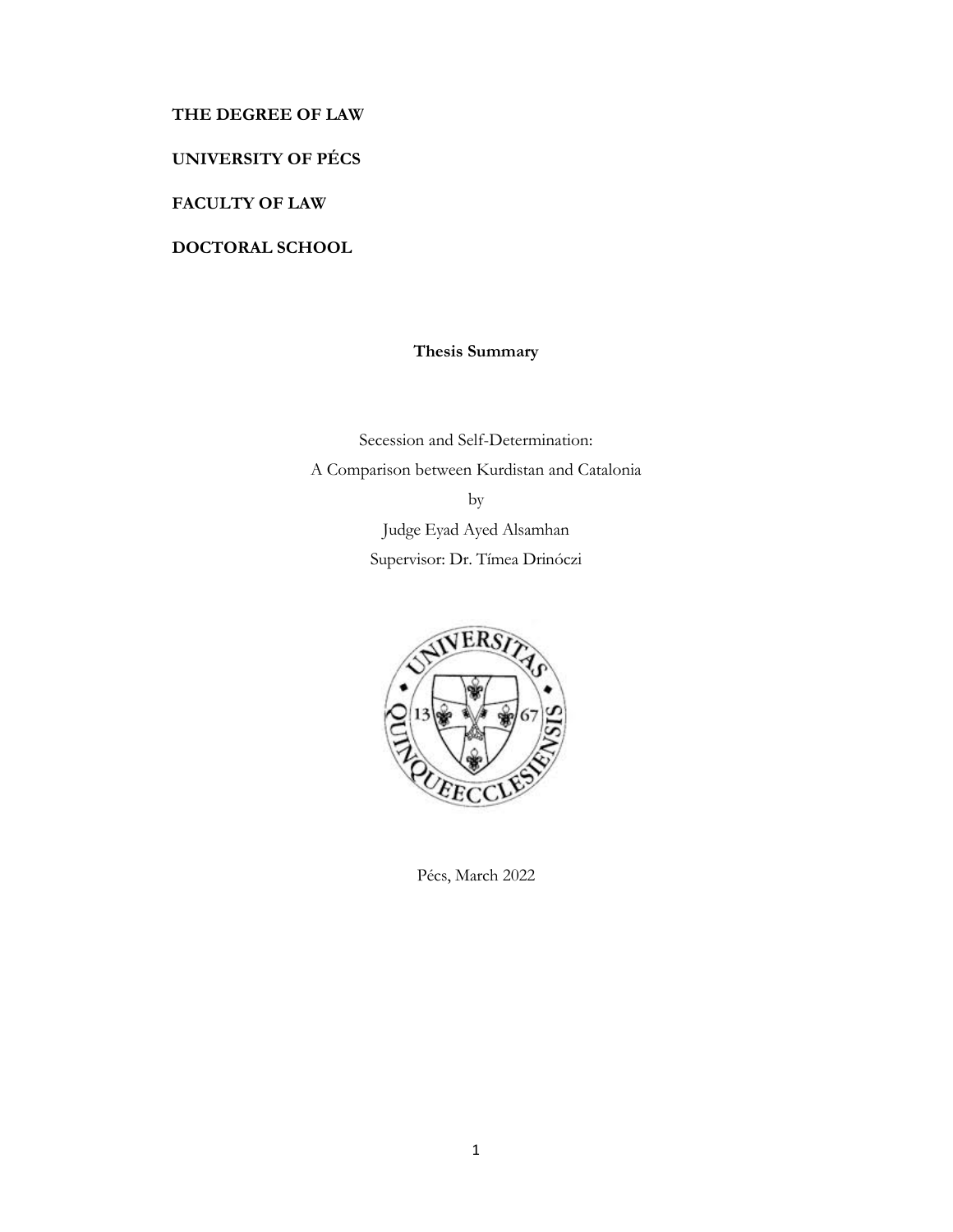## **THE DEGREE OF LAW**

**UNIVERSITY OF PÉCS** 

**FACULTY OF LAW** 

**DOCTORAL SCHOOL** 

# **Thesis Summary**

Secession and Self-Determination: A Comparison between Kurdistan and Catalonia by Judge Eyad Ayed Alsamhan Supervisor: Dr. Tímea Drinóczi



Pécs, March 2022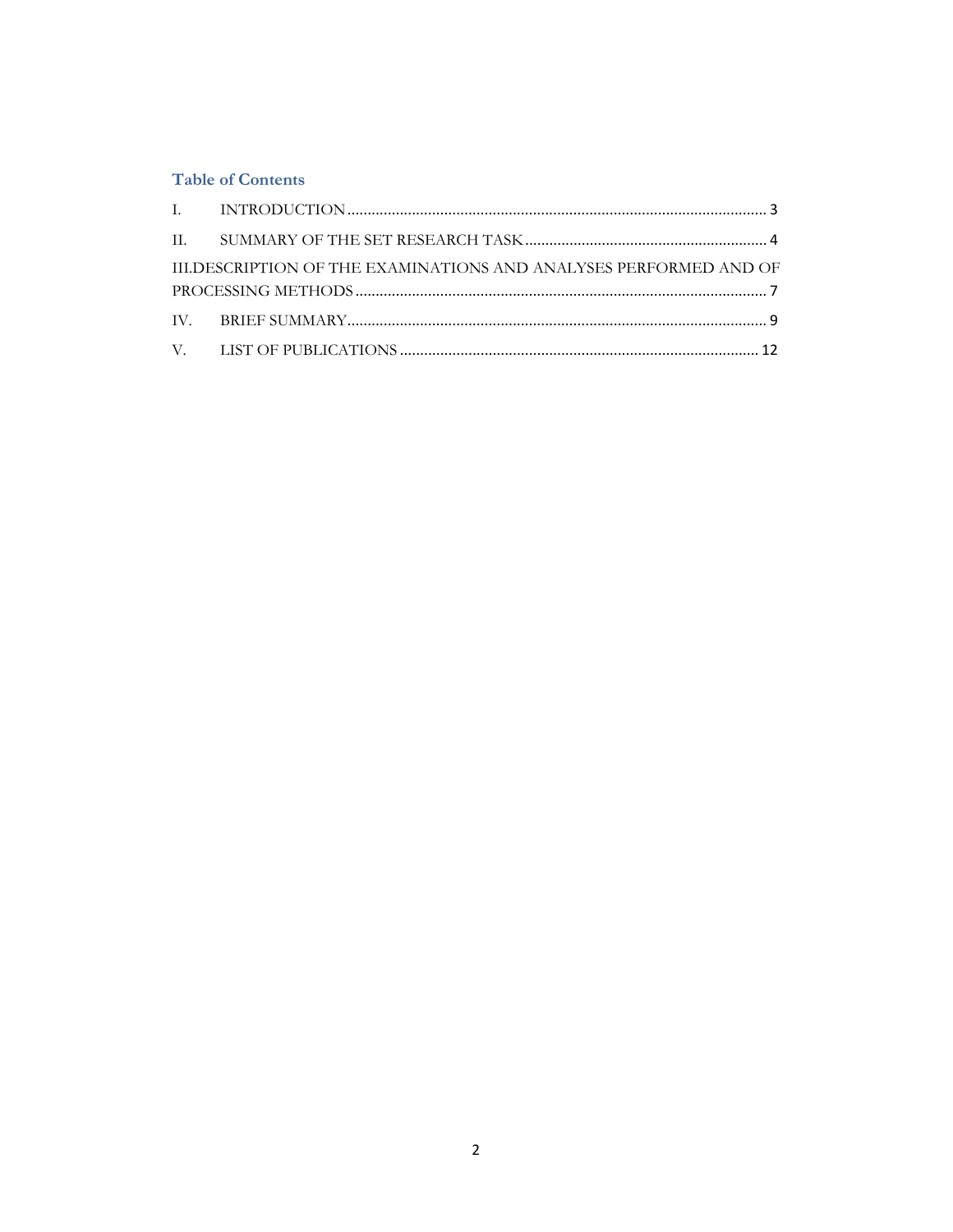## **Table of Contents**

| III.DESCRIPTION OF THE EXAMINATIONS AND ANALYSES PERFORMED AND OF |  |
|-------------------------------------------------------------------|--|
|                                                                   |  |
|                                                                   |  |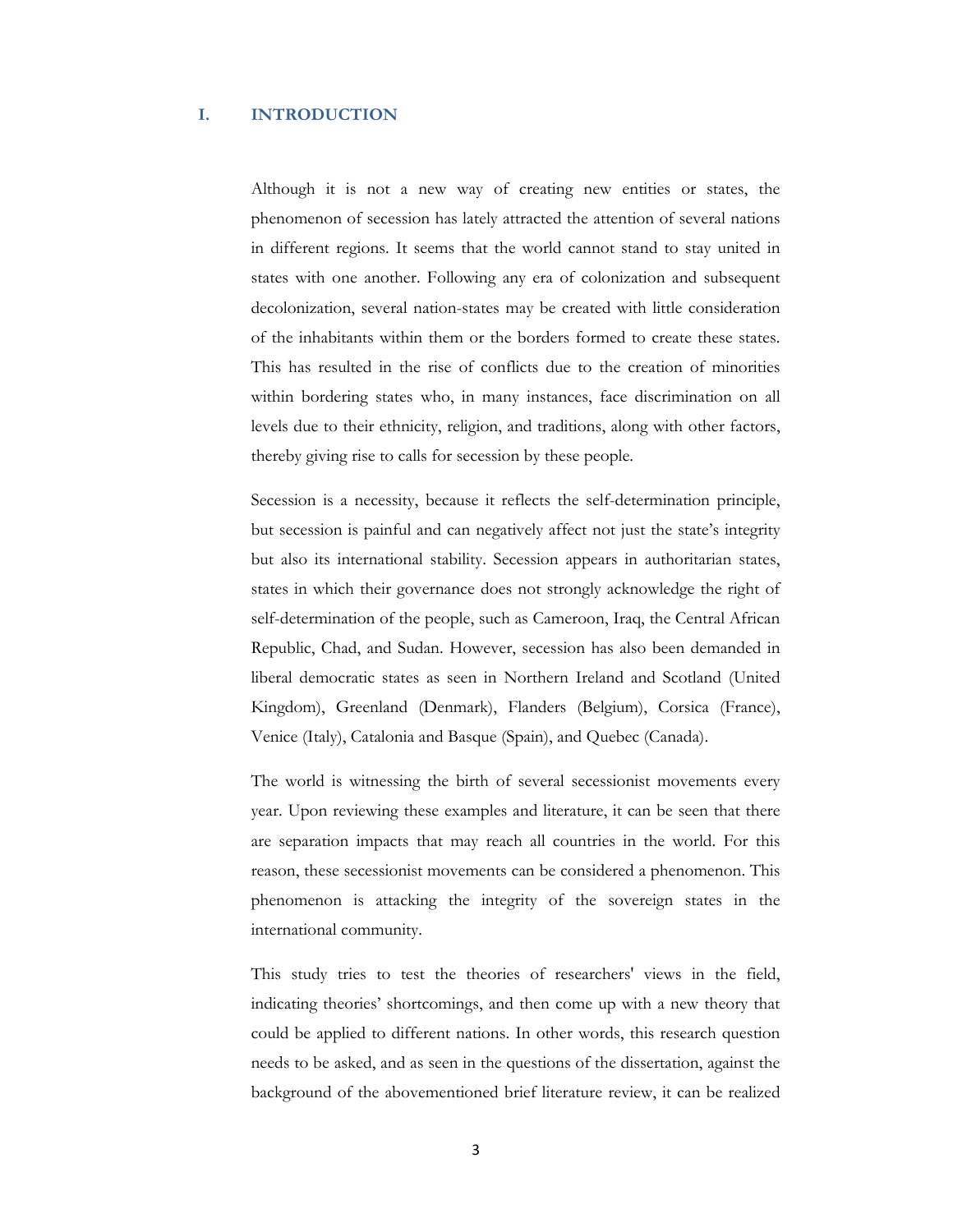#### **I. INTRODUCTION**

Although it is not a new way of creating new entities or states, the phenomenon of secession has lately attracted the attention of several nations in different regions. It seems that the world cannot stand to stay united in states with one another. Following any era of colonization and subsequent decolonization, several nation-states may be created with little consideration of the inhabitants within them or the borders formed to create these states. This has resulted in the rise of conflicts due to the creation of minorities within bordering states who, in many instances, face discrimination on all levels due to their ethnicity, religion, and traditions, along with other factors, thereby giving rise to calls for secession by these people.

Secession is a necessity, because it reflects the self-determination principle, but secession is painful and can negatively affect not just the state's integrity but also its international stability. Secession appears in authoritarian states, states in which their governance does not strongly acknowledge the right of self-determination of the people, such as Cameroon, Iraq, the Central African Republic, Chad, and Sudan. However, secession has also been demanded in liberal democratic states as seen in Northern Ireland and Scotland (United Kingdom), Greenland (Denmark), Flanders (Belgium), Corsica (France), Venice (Italy), Catalonia and Basque (Spain), and Quebec (Canada).

The world is witnessing the birth of several secessionist movements every year. Upon reviewing these examples and literature, it can be seen that there are separation impacts that may reach all countries in the world. For this reason, these secessionist movements can be considered a phenomenon. This phenomenon is attacking the integrity of the sovereign states in the international community.

This study tries to test the theories of researchers' views in the field, indicating theories' shortcomings, and then come up with a new theory that could be applied to different nations. In other words, this research question needs to be asked, and as seen in the questions of the dissertation, against the background of the abovementioned brief literature review, it can be realized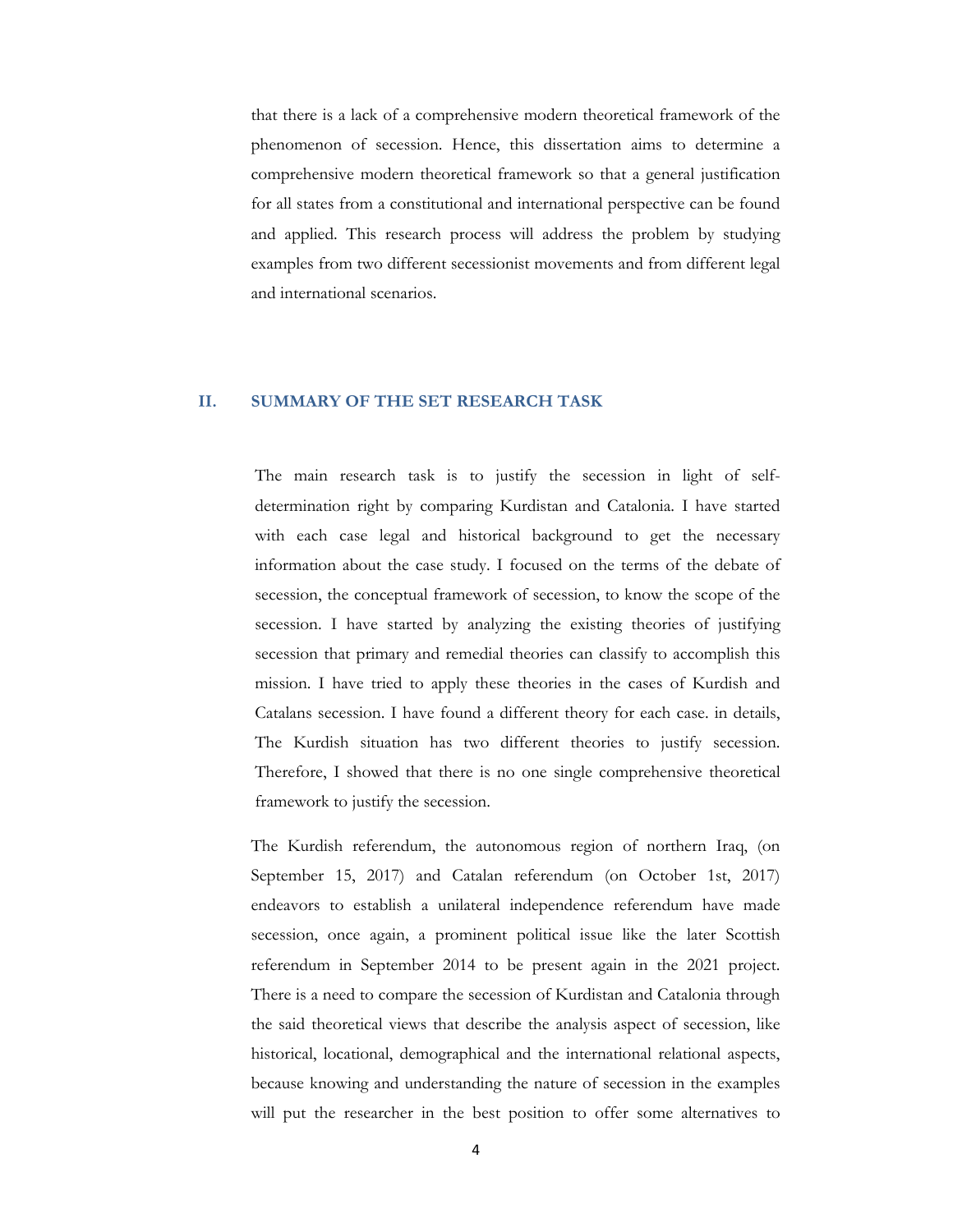that there is a lack of a comprehensive modern theoretical framework of the phenomenon of secession. Hence, this dissertation aims to determine a comprehensive modern theoretical framework so that a general justification for all states from a constitutional and international perspective can be found and applied. This research process will address the problem by studying examples from two different secessionist movements and from different legal and international scenarios.

#### **II. SUMMARY OF THE SET RESEARCH TASK**

The main research task is to justify the secession in light of selfdetermination right by comparing Kurdistan and Catalonia. I have started with each case legal and historical background to get the necessary information about the case study. I focused on the terms of the debate of secession, the conceptual framework of secession, to know the scope of the secession. I have started by analyzing the existing theories of justifying secession that primary and remedial theories can classify to accomplish this mission. I have tried to apply these theories in the cases of Kurdish and Catalans secession. I have found a different theory for each case. in details, The Kurdish situation has two different theories to justify secession. Therefore, I showed that there is no one single comprehensive theoretical framework to justify the secession.

The Kurdish referendum, the autonomous region of northern Iraq, (on September 15, 2017) and Catalan referendum (on October 1st, 2017) endeavors to establish a unilateral independence referendum have made secession, once again, a prominent political issue like the later Scottish referendum in September 2014 to be present again in the 2021 project. There is a need to compare the secession of Kurdistan and Catalonia through the said theoretical views that describe the analysis aspect of secession, like historical, locational, demographical and the international relational aspects, because knowing and understanding the nature of secession in the examples will put the researcher in the best position to offer some alternatives to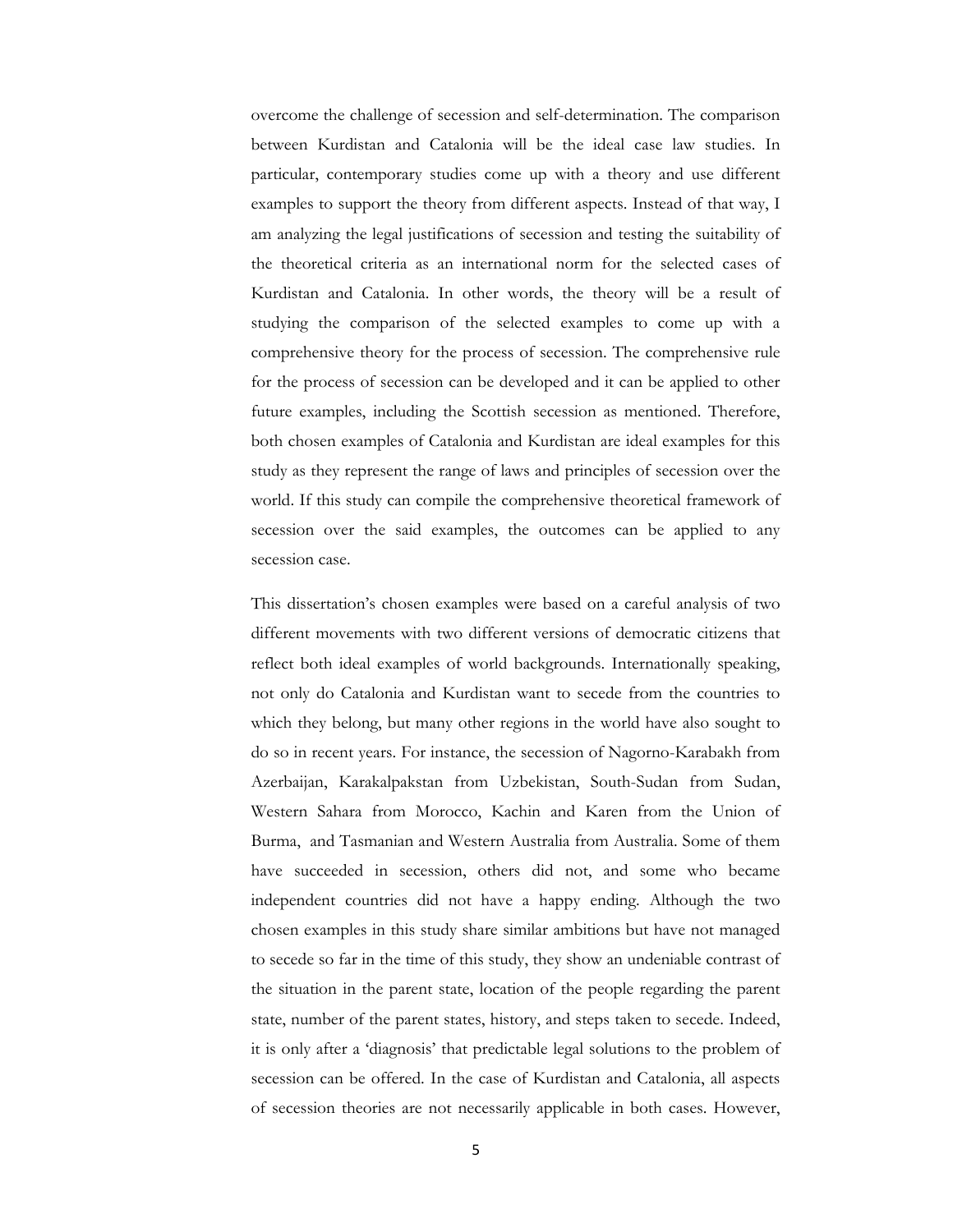overcome the challenge of secession and self-determination. The comparison between Kurdistan and Catalonia will be the ideal case law studies. In particular, contemporary studies come up with a theory and use different examples to support the theory from different aspects. Instead of that way, I am analyzing the legal justifications of secession and testing the suitability of the theoretical criteria as an international norm for the selected cases of Kurdistan and Catalonia. In other words, the theory will be a result of studying the comparison of the selected examples to come up with a comprehensive theory for the process of secession. The comprehensive rule for the process of secession can be developed and it can be applied to other future examples, including the Scottish secession as mentioned. Therefore, both chosen examples of Catalonia and Kurdistan are ideal examples for this study as they represent the range of laws and principles of secession over the world. If this study can compile the comprehensive theoretical framework of secession over the said examples, the outcomes can be applied to any secession case.

This dissertation's chosen examples were based on a careful analysis of two different movements with two different versions of democratic citizens that reflect both ideal examples of world backgrounds. Internationally speaking, not only do Catalonia and Kurdistan want to secede from the countries to which they belong, but many other regions in the world have also sought to do so in recent years. For instance, the secession of Nagorno-Karabakh from Azerbaijan, Karakalpakstan from Uzbekistan, South-Sudan from Sudan, Western Sahara from Morocco, Kachin and Karen from the Union of Burma, and Tasmanian and Western Australia from Australia. Some of them have succeeded in secession, others did not, and some who became independent countries did not have a happy ending. Although the two chosen examples in this study share similar ambitions but have not managed to secede so far in the time of this study, they show an undeniable contrast of the situation in the parent state, location of the people regarding the parent state, number of the parent states, history, and steps taken to secede. Indeed, it is only after a 'diagnosis' that predictable legal solutions to the problem of secession can be offered. In the case of Kurdistan and Catalonia, all aspects of secession theories are not necessarily applicable in both cases. However,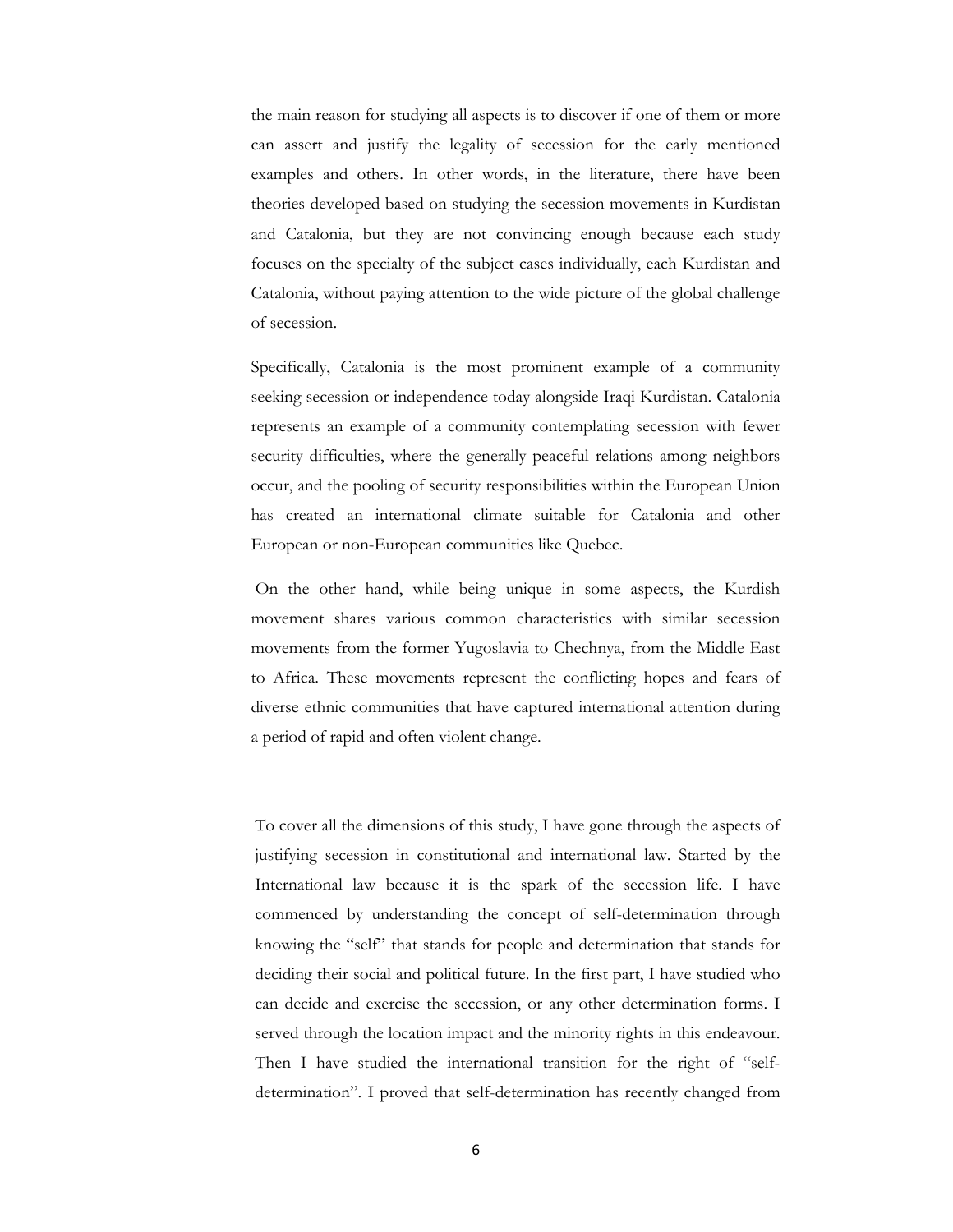the main reason for studying all aspects is to discover if one of them or more can assert and justify the legality of secession for the early mentioned examples and others. In other words, in the literature, there have been theories developed based on studying the secession movements in Kurdistan and Catalonia, but they are not convincing enough because each study focuses on the specialty of the subject cases individually, each Kurdistan and Catalonia, without paying attention to the wide picture of the global challenge of secession.

Specifically, Catalonia is the most prominent example of a community seeking secession or independence today alongside Iraqi Kurdistan. Catalonia represents an example of a community contemplating secession with fewer security difficulties, where the generally peaceful relations among neighbors occur, and the pooling of security responsibilities within the European Union has created an international climate suitable for Catalonia and other European or non-European communities like Quebec.

 On the other hand, while being unique in some aspects, the Kurdish movement shares various common characteristics with similar secession movements from the former Yugoslavia to Chechnya, from the Middle East to Africa. These movements represent the conflicting hopes and fears of diverse ethnic communities that have captured international attention during a period of rapid and often violent change.

To cover all the dimensions of this study, I have gone through the aspects of justifying secession in constitutional and international law. Started by the International law because it is the spark of the secession life. I have commenced by understanding the concept of self-determination through knowing the "self" that stands for people and determination that stands for deciding their social and political future. In the first part, I have studied who can decide and exercise the secession, or any other determination forms. I served through the location impact and the minority rights in this endeavour. Then I have studied the international transition for the right of "selfdetermination". I proved that self-determination has recently changed from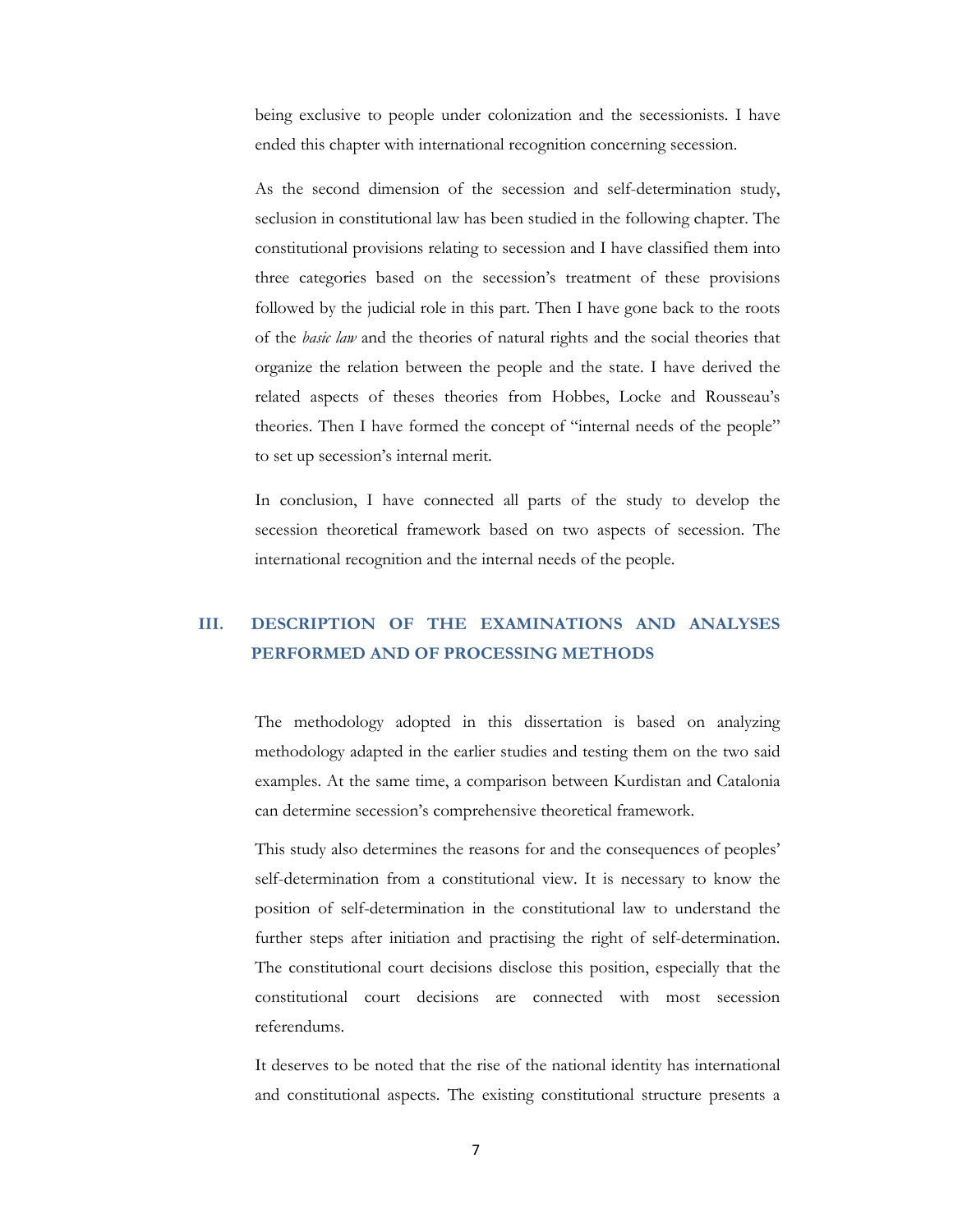being exclusive to people under colonization and the secessionists. I have ended this chapter with international recognition concerning secession.

As the second dimension of the secession and self-determination study, seclusion in constitutional law has been studied in the following chapter. The constitutional provisions relating to secession and I have classified them into three categories based on the secession's treatment of these provisions followed by the judicial role in this part. Then I have gone back to the roots of the *basic law* and the theories of natural rights and the social theories that organize the relation between the people and the state. I have derived the related aspects of theses theories from Hobbes, Locke and Rousseau's theories. Then I have formed the concept of "internal needs of the people" to set up secession's internal merit.

In conclusion, I have connected all parts of the study to develop the secession theoretical framework based on two aspects of secession. The international recognition and the internal needs of the people.

# **III. DESCRIPTION OF THE EXAMINATIONS AND ANALYSES PERFORMED AND OF PROCESSING METHODS**

The methodology adopted in this dissertation is based on analyzing methodology adapted in the earlier studies and testing them on the two said examples. At the same time, a comparison between Kurdistan and Catalonia can determine secession's comprehensive theoretical framework.

This study also determines the reasons for and the consequences of peoples' self-determination from a constitutional view. It is necessary to know the position of self-determination in the constitutional law to understand the further steps after initiation and practising the right of self-determination. The constitutional court decisions disclose this position, especially that the constitutional court decisions are connected with most secession referendums.

It deserves to be noted that the rise of the national identity has international and constitutional aspects. The existing constitutional structure presents a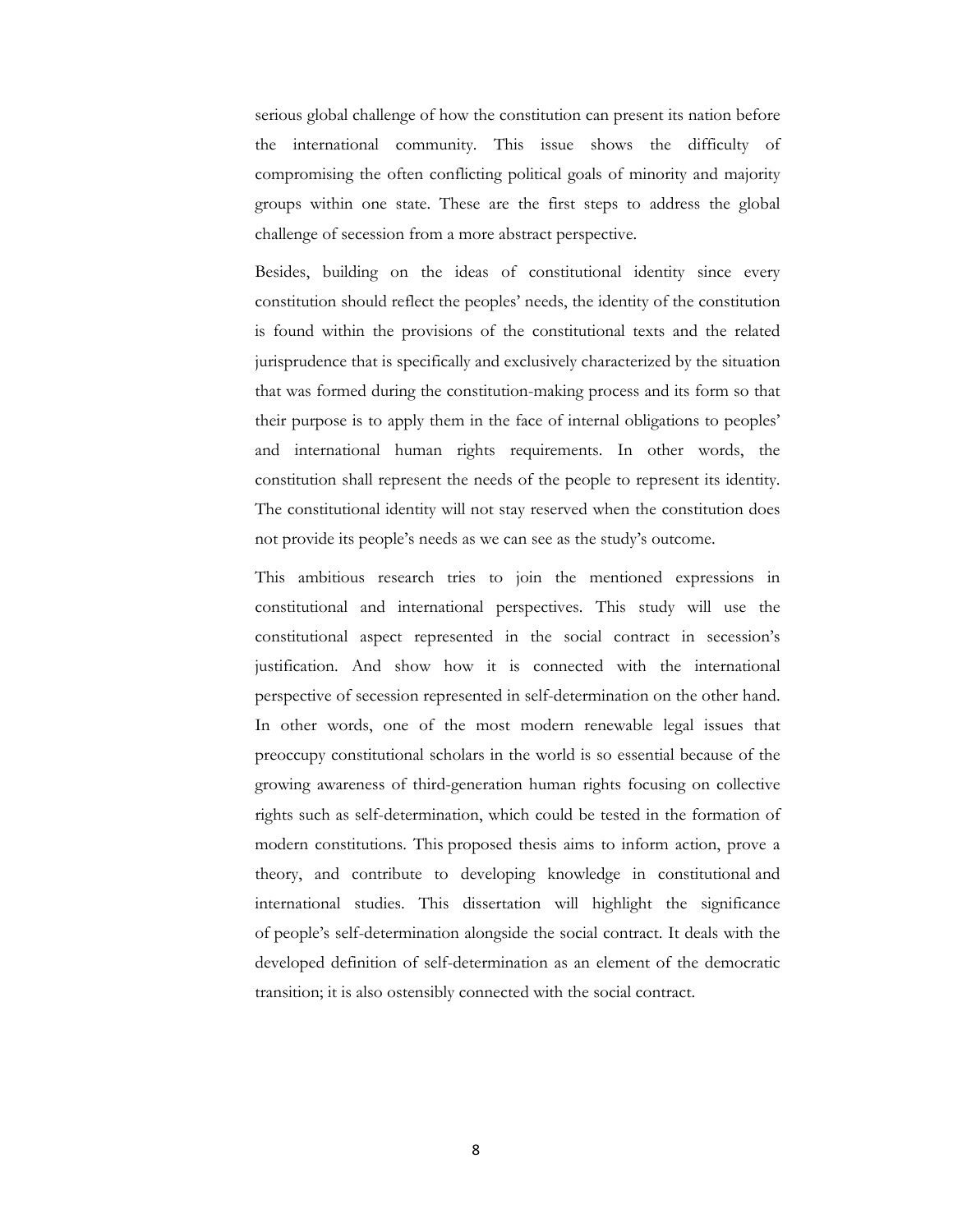serious global challenge of how the constitution can present its nation before the international community. This issue shows the difficulty of compromising the often conflicting political goals of minority and majority groups within one state. These are the first steps to address the global challenge of secession from a more abstract perspective.

Besides, building on the ideas of constitutional identity since every constitution should reflect the peoples' needs, the identity of the constitution is found within the provisions of the constitutional texts and the related jurisprudence that is specifically and exclusively characterized by the situation that was formed during the constitution-making process and its form so that their purpose is to apply them in the face of internal obligations to peoples' and international human rights requirements. In other words, the constitution shall represent the needs of the people to represent its identity. The constitutional identity will not stay reserved when the constitution does not provide its people's needs as we can see as the study's outcome.

This ambitious research tries to join the mentioned expressions in constitutional and international perspectives. This study will use the constitutional aspect represented in the social contract in secession's justification. And show how it is connected with the international perspective of secession represented in self-determination on the other hand. In other words, one of the most modern renewable legal issues that preoccupy constitutional scholars in the world is so essential because of the growing awareness of third-generation human rights focusing on collective rights such as self-determination, which could be tested in the formation of modern constitutions. This proposed thesis aims to inform action, prove a theory, and contribute to developing knowledge in constitutional and international studies. This dissertation will highlight the significance of people's self-determination alongside the social contract. It deals with the developed definition of self-determination as an element of the democratic transition; it is also ostensibly connected with the social contract.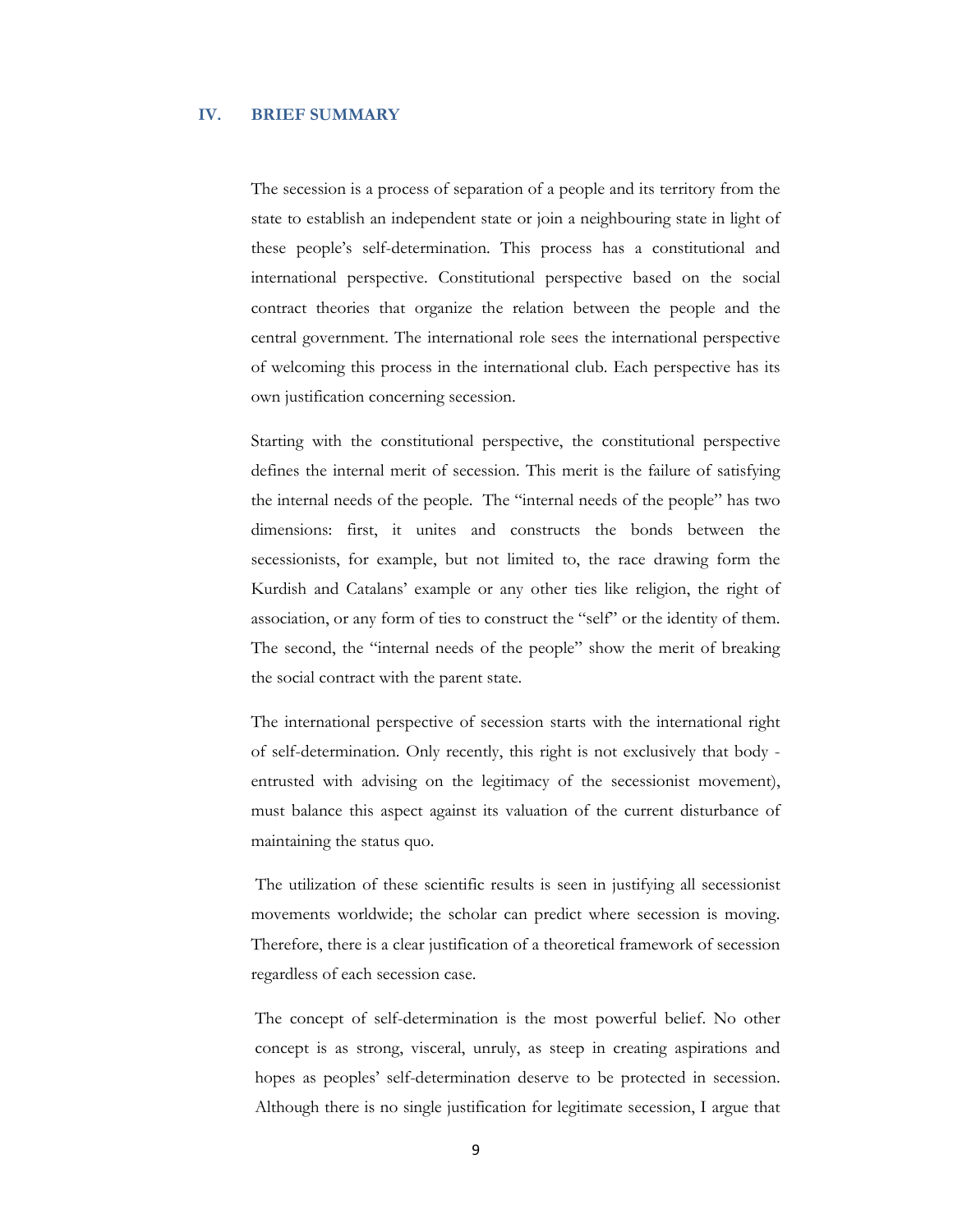### **IV. BRIEF SUMMARY**

The secession is a process of separation of a people and its territory from the state to establish an independent state or join a neighbouring state in light of these people's self-determination. This process has a constitutional and international perspective. Constitutional perspective based on the social contract theories that organize the relation between the people and the central government. The international role sees the international perspective of welcoming this process in the international club. Each perspective has its own justification concerning secession.

Starting with the constitutional perspective, the constitutional perspective defines the internal merit of secession. This merit is the failure of satisfying the internal needs of the people. The "internal needs of the people" has two dimensions: first, it unites and constructs the bonds between the secessionists, for example, but not limited to, the race drawing form the Kurdish and Catalans' example or any other ties like religion, the right of association, or any form of ties to construct the "self" or the identity of them. The second, the "internal needs of the people" show the merit of breaking the social contract with the parent state.

The international perspective of secession starts with the international right of self-determination. Only recently, this right is not exclusively that body entrusted with advising on the legitimacy of the secessionist movement), must balance this aspect against its valuation of the current disturbance of maintaining the status quo.

 The utilization of these scientific results is seen in justifying all secessionist movements worldwide; the scholar can predict where secession is moving. Therefore, there is a clear justification of a theoretical framework of secession regardless of each secession case.

The concept of self-determination is the most powerful belief. No other concept is as strong, visceral, unruly, as steep in creating aspirations and hopes as peoples' self-determination deserve to be protected in secession. Although there is no single justification for legitimate secession, I argue that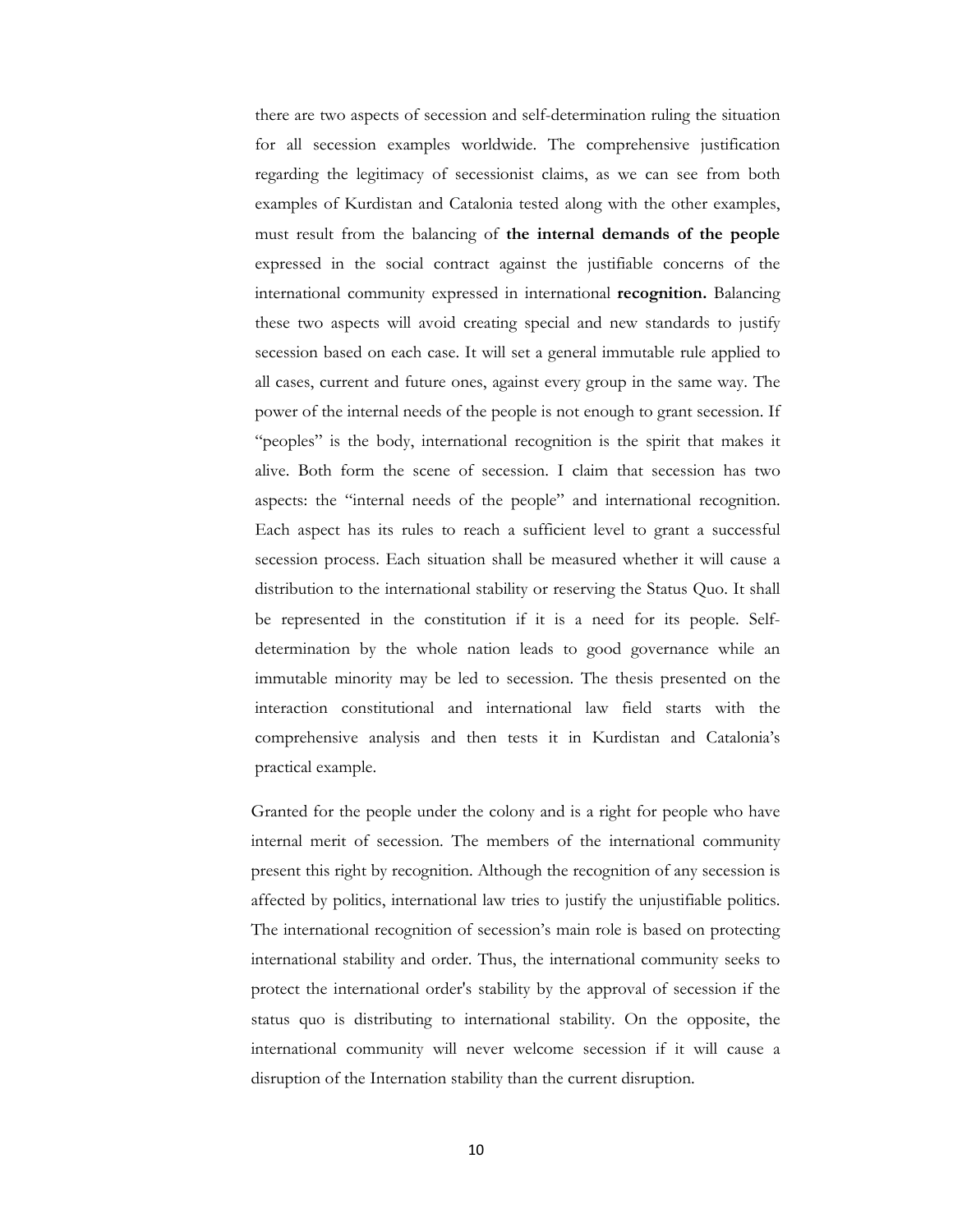there are two aspects of secession and self-determination ruling the situation for all secession examples worldwide. The comprehensive justification regarding the legitimacy of secessionist claims, as we can see from both examples of Kurdistan and Catalonia tested along with the other examples, must result from the balancing of **the internal demands of the people** expressed in the social contract against the justifiable concerns of the international community expressed in international **recognition.** Balancing these two aspects will avoid creating special and new standards to justify secession based on each case. It will set a general immutable rule applied to all cases, current and future ones, against every group in the same way. The power of the internal needs of the people is not enough to grant secession. If "peoples" is the body, international recognition is the spirit that makes it alive. Both form the scene of secession. I claim that secession has two aspects: the "internal needs of the people" and international recognition. Each aspect has its rules to reach a sufficient level to grant a successful secession process. Each situation shall be measured whether it will cause a distribution to the international stability or reserving the Status Quo. It shall be represented in the constitution if it is a need for its people. Selfdetermination by the whole nation leads to good governance while an immutable minority may be led to secession. The thesis presented on the interaction constitutional and international law field starts with the comprehensive analysis and then tests it in Kurdistan and Catalonia's practical example.

Granted for the people under the colony and is a right for people who have internal merit of secession. The members of the international community present this right by recognition. Although the recognition of any secession is affected by politics, international law tries to justify the unjustifiable politics. The international recognition of secession's main role is based on protecting international stability and order. Thus, the international community seeks to protect the international order's stability by the approval of secession if the status quo is distributing to international stability. On the opposite, the international community will never welcome secession if it will cause a disruption of the Internation stability than the current disruption.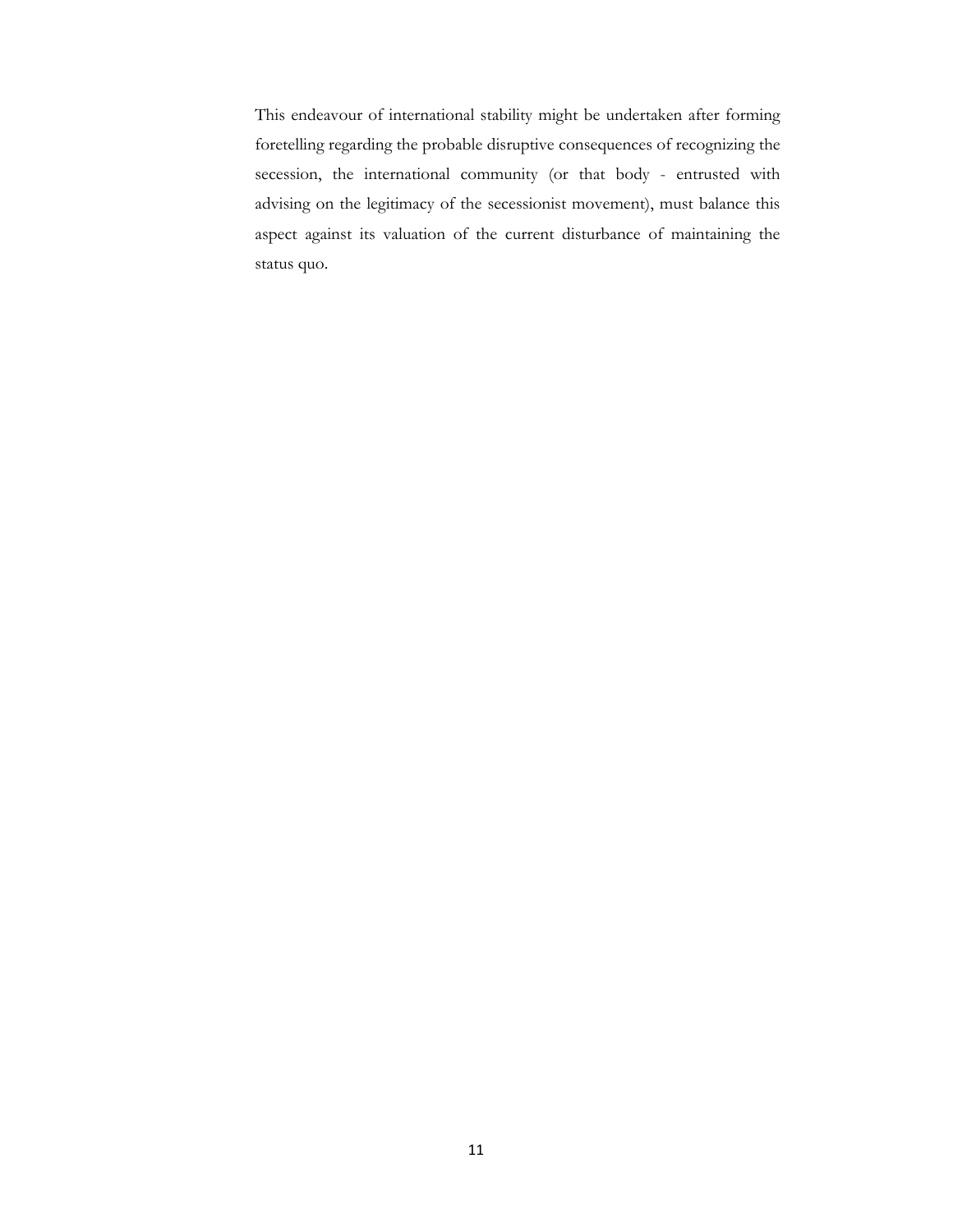This endeavour of international stability might be undertaken after forming foretelling regarding the probable disruptive consequences of recognizing the secession, the international community (or that body - entrusted with advising on the legitimacy of the secessionist movement), must balance this aspect against its valuation of the current disturbance of maintaining the status quo.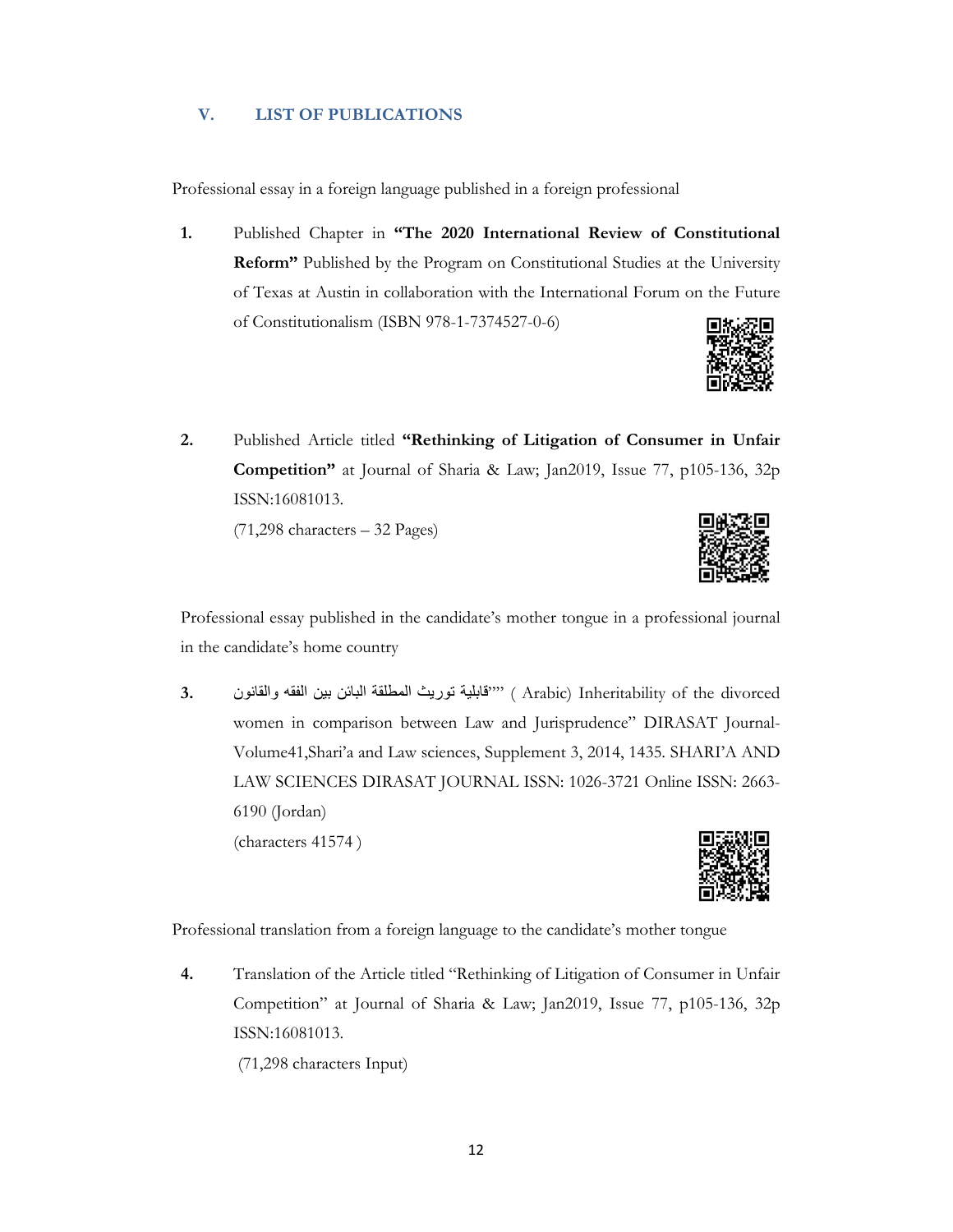## **V. LIST OF PUBLICATIONS**

Professional essay in a foreign language published in a foreign professional

**1.** Published Chapter in **"The 2020 International Review of Constitutional Reform"** Published by the Program on Constitutional Studies at the University of Texas at Austin in collaboration with the International Forum on the Future of Constitutionalism (ISBN 978-1-7374527-0-6)



**2.** Published Article titled **"Rethinking of Litigation of Consumer in Unfair Competition"** at Journal of Sharia & Law; Jan2019, Issue 77, p105-136, 32p ISSN:16081013.

 $(71,298 \text{ characters} - 32 \text{ Pages})$ 



Professional essay published in the candidate's mother tongue in a professional journal in the candidate's home country

 divorced the of Inheritability) Arabic"" ( قابلية توريث المطلقة البائن بين الفقه والقانون **3.** women in comparison between Law and Jurisprudence" DIRASAT Journal-Volume41,Shari'a and Law sciences, Supplement 3, 2014, 1435. SHARI'A AND LAW SCIENCES DIRASAT JOURNAL ISSN: 1026-3721 Online ISSN: 2663- 6190 (Jordan)

(characters 41574 )



Professional translation from a foreign language to the candidate's mother tongue

**4.** Translation of the Article titled "Rethinking of Litigation of Consumer in Unfair Competition" at Journal of Sharia & Law; Jan2019, Issue 77, p105-136, 32p ISSN:16081013.

(71,298 characters Input)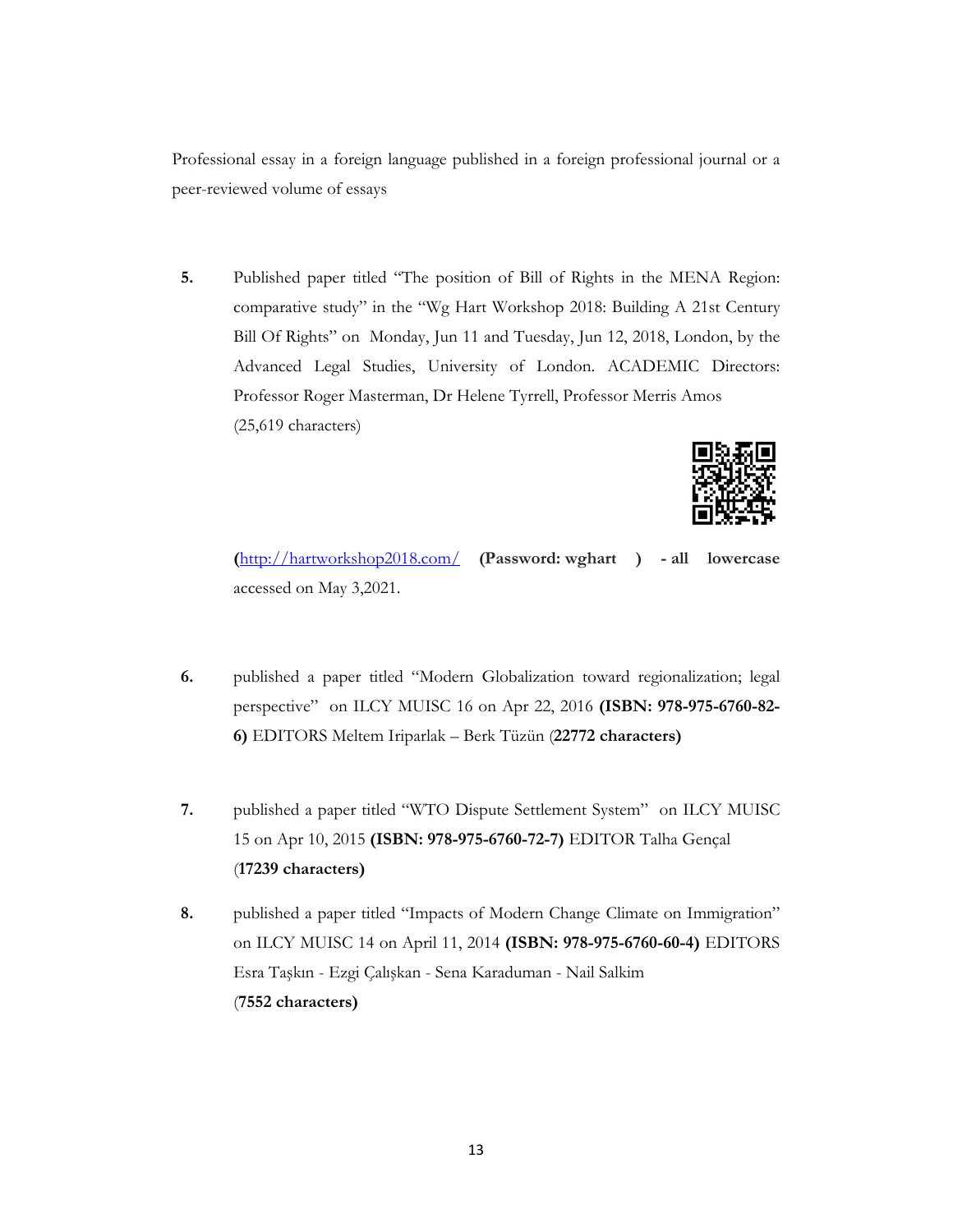Professional essay in a foreign language published in a foreign professional journal or a peer-reviewed volume of essays

**5.** Published paper titled "The position of Bill of Rights in the MENA Region: comparative study" in the "Wg Hart Workshop 2018: Building A 21st Century Bill Of Rights" on Monday, Jun 11 and Tuesday, Jun 12, 2018, London, by the Advanced Legal Studies, University of London. ACADEMIC Directors: Professor Roger Masterman, Dr Helene Tyrrell, Professor Merris Amos (25,619 characters)



**(**http://hartworkshop2018.com/ **(Password: wghart ) - all lowercase** accessed on May 3,2021.

- **6.** published a paper titled "Modern Globalization toward regionalization; legal perspective" on ILCY MUISC 16 on Apr 22, 2016 **(ISBN: 978-975-6760-82- 6)** EDITORS Meltem Iriparlak – Berk Tüzün (**22772 characters)**
- **7.** published a paper titled "WTO Dispute Settlement System" on ILCY MUISC 15 on Apr 10, 2015 **(ISBN: 978-975-6760-72-7)** EDITOR Talha Gençal (**17239 characters)**
- **8.** published a paper titled "Impacts of Modern Change Climate on Immigration" on ILCY MUISC 14 on April 11, 2014 **(ISBN: 978-975-6760-60-4)** EDITORS Esra Taşkın - Ezgi Çalışkan - Sena Karaduman - Nail Salkim (**7552 characters)**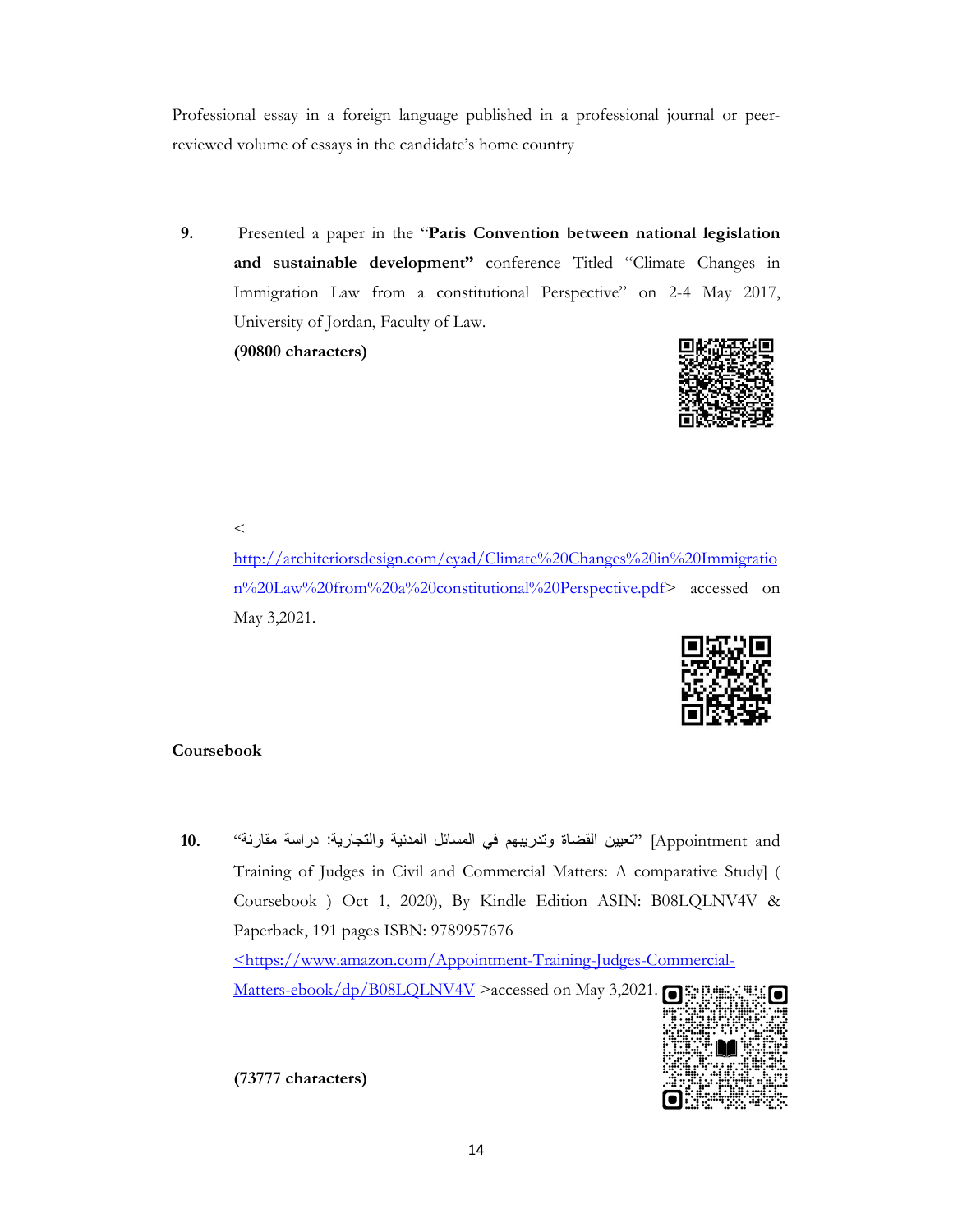Professional essay in a foreign language published in a professional journal or peerreviewed volume of essays in the candidate's home country

**9.** Presented a paper in the "**Paris Convention between national legislation and sustainable development"** conference Titled "Climate Changes in Immigration Law from a constitutional Perspective" on 2-4 May 2017, University of Jordan, Faculty of Law. **(90800 characters)** 



 $\,<$ 

http://architeriorsdesign.com/eyad/Climate%20Changes%20in%20Immigratio n%20Law%20from%20a%20constitutional%20Perspective.pdf> accessed on May 3,2021.



## **Coursebook**

 and Appointment" [تعيين القضاة وتدريبهم في المسائل المدنية والتجارية :دراسة مقارنة" **10.** Training of Judges in Civil and Commercial Matters: A comparative Study] ( Coursebook ) Oct 1, 2020), By Kindle Edition ASIN: B08LQLNV4V & Paperback, 191 pages ISBN: 9789957676 <https://www.amazon.com/Appointment-Training-Judges-Commercial-Matters-ebook/dp/B08LQLNV4V >accessed on May 3,2021.



**(73777 characters)**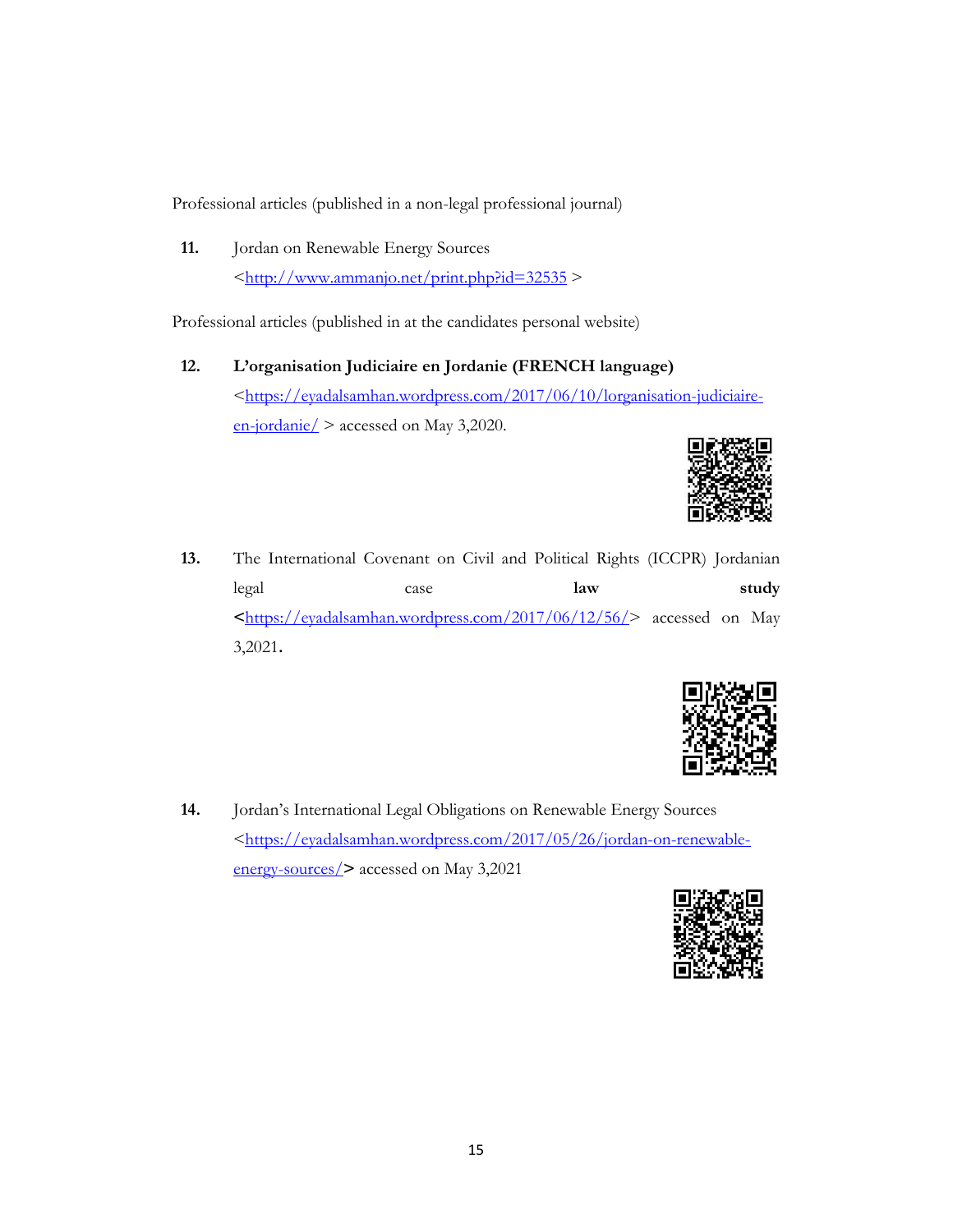Professional articles (published in a non-legal professional journal)

**11.** Jordan on Renewable Energy Sources  $\frac{\text{th}}{\text{t}}/$ /www.ammanjo.net/print.php?id=32535 >

Professional articles (published in at the candidates personal website)

**12. L'organisation Judiciaire en Jordanie (FRENCH language)**  <https://eyadalsamhan.wordpress.com/2017/06/10/lorganisation-judiciaireen-jordanie/ > accessed on May 3,2020.



**13.** The International Covenant on Civil and Political Rights (ICCPR) Jordanian legal case **law study <**https://eyadalsamhan.wordpress.com/2017/06/12/56/> accessed on May 3,2021**.** 



**14.** Jordan's International Legal Obligations on Renewable Energy Sources <https://eyadalsamhan.wordpress.com/2017/05/26/jordan-on-renewableenergy-sources/**>** accessed on May 3,2021